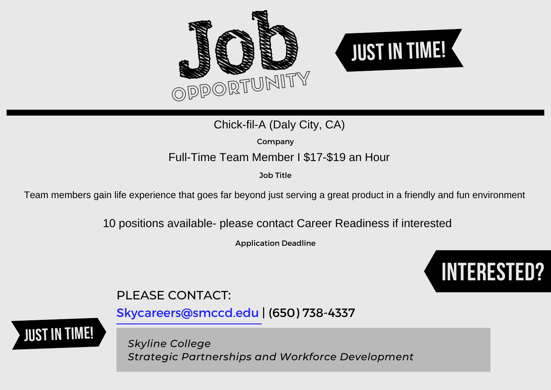

Chick-fil-A (Daly City, CA)

Company

### Full-Time Team Member I \$17-\$19 an Hour

Job Title

Team members gain life experience that goes far beyond just serving a great product in a friendly and fun environment

10 positions available- please contact Career Readiness if interested

Application Deadline



# PLEASE CONTACT:

[Skycareers@smccd.edu | \(650\) 738-4337](mailto:skycareers@smccd.edu)

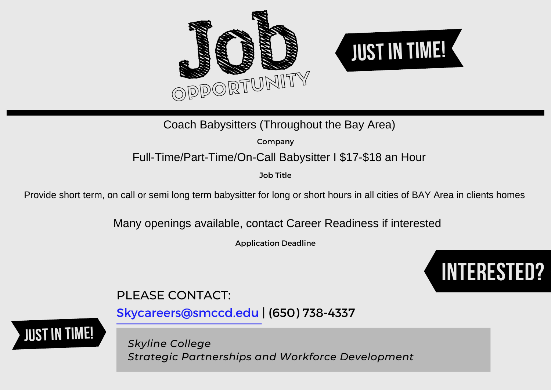

Coach Babysitters (Throughout the Bay Area)

Company

### Full-Time/Part-Time/On-Call Babysitter I \$17-\$18 an Hour

Job Title

Provide short term, on call or semi long term babysitter for long or short hours in all cities of BAY Area in clients homes

Many openings available, contact Career Readiness if interested

Application Deadline



# PLEASE CONTACT:

[Skycareers@smccd.edu | \(650\) 738-4337](mailto:skycareers@smccd.edu)

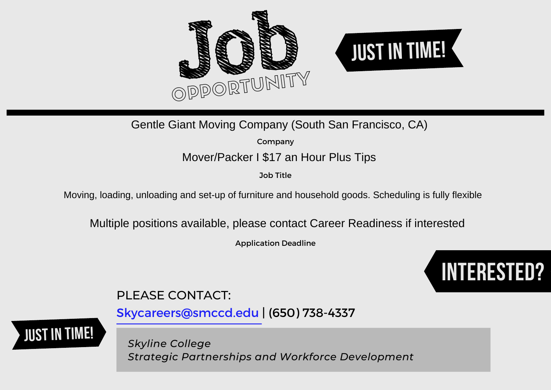

Gentle Giant Moving Company (South San Francisco, CA)

Company

#### Mover/Packer I \$17 an Hour Plus Tips

Job Title

Moving, loading, unloading and set-up of furniture and household goods. Scheduling is fully flexible

Multiple positions available, please contact Career Readiness if interested

Application Deadline



### PLEASE CONTACT:

[Skycareers@smccd.edu | \(650\) 738-4337](mailto:skycareers@smccd.edu)